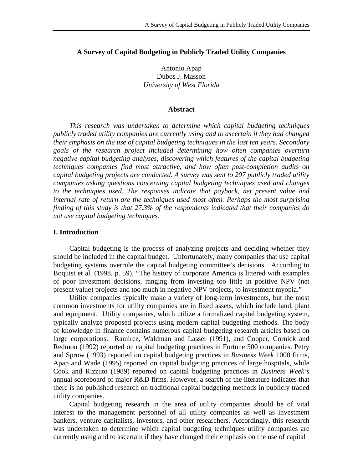## **A Survey of Capital Budgeting in Publicly Traded Utility Companies**

Antonio Apap Dubos J. Masson *University of West Florida*

#### **Abstract**

 *This research was undertaken to determine which capital budgeting techniques publicly traded utility companies are currently using and to ascertain if they had changed their emphasis on the use of capital budgeting techniques in the last ten years. Secondary goals of the research project included determining how often companies overturn negative capital budgeting analyses, discovering which features of the capital budgeting techniques companies find most attractive, and how often post-completion audits on capital budgeting projects are conducted. A survey was sent to 207 publicly traded utility companies asking questions concerning capital budgeting techniques used and changes to the techniques used. The responses indicate that payback, net present value and internal rate of return are the techniques used most often. Perhaps the most surprising finding of this study is that 27.3% of the respondents indicated that their companies do not use capital budgeting techniques.* 

### **I. Introduction**

 Capital budgeting is the process of analyzing projects and deciding whether they should be included in the capital budget. Unfortunately, many companies that use capital budgeting systems overrule the capital budgeting committee's decisions. According to Boquist et al. (1998, p. 59), "The history of corporate America is littered with examples of poor investment decisions, ranging from investing too little in positive NPV (net present value) projects and too much in negative NPV projects, to investment myopia."

Utility companies typically make a variety of long-term investments, but the most common investments for utility companies are in fixed assets, which include land, plant and equipment. Utility companies, which utilize a formalized capital budgeting system, typically analyze proposed projects using modern capital budgeting methods. The body of knowledge in finance contains numerous capital budgeting research articles based on large corporations. Ramirez, Waldman and Lasser (1991), and Cooper, Cornick and Redmon (1992) reported on capital budgeting practices in Fortune 500 companies. Petry and Sprow (1993) reported on capital budgeting practices in *Business Week* 1000 firms, Apap and Wade (1995) reported on capital budgeting practices of large hospitals, while Cook and Rizzuto (1989) reported on capital budgeting practices in *Business Week's* annual scoreboard of major R&D firms. However, a search of the literature indicates that there is no published research on traditional capital budgeting methods in publicly traded utility companies.

 Capital budgeting research in the area of utility companies should be of vital interest to the management personnel of all utility companies as well as investment bankers, venture capitalists, investors, and other researchers. Accordingly, this research was undertaken to determine which capital budgeting techniques utility companies are currently using and to ascertain if they have changed their emphasis on the use of capital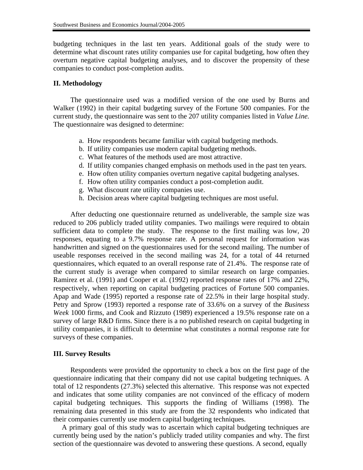budgeting techniques in the last ten years. Additional goals of the study were to determine what discount rates utility companies use for capital budgeting, how often they overturn negative capital budgeting analyses, and to discover the propensity of these companies to conduct post-completion audits.

### **II. Methodology**

 The questionnaire used was a modified version of the one used by Burns and Walker (1992) in their capital budgeting survey of the Fortune 500 companies. For the current study, the questionnaire was sent to the 207 utility companies listed in *Value Line.* The questionnaire was designed to determine:

- a. How respondents became familiar with capital budgeting methods.
- b. If utility companies use modern capital budgeting methods.
- c. What features of the methods used are most attractive.
- d. If utility companies changed emphasis on methods used in the past ten years.
- e. How often utility companies overturn negative capital budgeting analyses.
- f. How often utility companies conduct a post-completion audit.
- g. What discount rate utility companies use.
- h. Decision areas where capital budgeting techniques are most useful.

 After deducting one questionnaire returned as undeliverable, the sample size was reduced to 206 publicly traded utility companies. Two mailings were required to obtain sufficient data to complete the study. The response to the first mailing was low, 20 responses, equating to a 9.7% response rate. A personal request for information was handwritten and signed on the questionnaires used for the second mailing. The number of useable responses received in the second mailing was 24, for a total of 44 returned questionnaires, which equated to an overall response rate of 21.4%. The response rate of the current study is average when compared to similar research on large companies. Ramirez et al. (1991) and Cooper et al. (1992) reported response rates of 17% and 22%, respectively, when reporting on capital budgeting practices of Fortune 500 companies. Apap and Wade (1995) reported a response rate of 22.5% in their large hospital study. Petry and Sprow (1993) reported a response rate of 33.6% on a survey of the *Business Week* 1000 firms, and Cook and Rizzuto (1989) experienced a 19.5% response rate on a survey of large R&D firms. Since there is a no published research on capital budgeting in utility companies, it is difficult to determine what constitutes a normal response rate for surveys of these companies.

### **III. Survey Results**

 Respondents were provided the opportunity to check a box on the first page of the questionnaire indicating that their company did not use capital budgeting techniques. A total of 12 respondents (27.3%) selected this alternative.This response was not expected and indicates that some utility companies are not convinced of the efficacy of modern capital budgeting techniques. This supports the finding of Williams (1998). The remaining data presented in this study are from the 32 respondents who indicated that their companies currently use modern capital budgeting techniques.

A primary goal of this study was to ascertain which capital budgeting techniques are currently being used by the nation's publicly traded utility companies and why. The first section of the questionnaire was devoted to answering these questions. A second, equally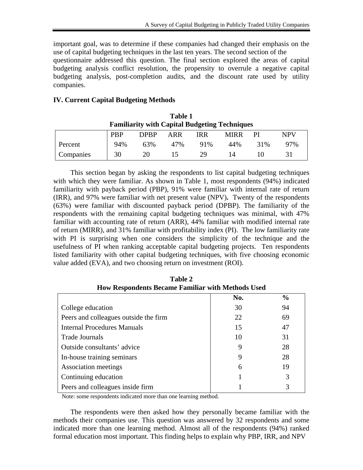important goal, was to determine if these companies had changed their emphasis on the use of capital budgeting techniques in the last ten years. The second section of the

questionnaire addressed this question. The final section explored the areas of capital budgeting analysis conflict resolution, the propensity to overrule a negative capital budgeting analysis, post-completion audits, and the discount rate used by utility companies.

# **IV. Current Capital Budgeting Methods**

| 1 apie 1<br><b>Familiarity with Capital Budgeting Techniques</b> |            |             |     |            |             |     |            |  |
|------------------------------------------------------------------|------------|-------------|-----|------------|-------------|-----|------------|--|
|                                                                  | <b>PBP</b> | <b>DPRP</b> | ARR | <b>IRR</b> | <b>MIRR</b> | РI  | <b>NPV</b> |  |
| Percent                                                          | 94%        | 63%         | 47% | 91%        | 44%         | 31% | 97%        |  |
| Companies                                                        | 30         | 20          |     | 29         | 14          |     |            |  |

**Table 1** 

 This section began by asking the respondents to list capital budgeting techniques with which they were familiar. As shown in Table 1, most respondents (94%) indicated familiarity with payback period (PBP), 91% were familiar with internal rate of return (IRR), and 97% were familiar with net present value (NPV)**.** Twenty of the respondents (63%) were familiar with discounted payback period (DPBP). The familiarity of the respondents with the remaining capital budgeting techniques was minimal, with 47% familiar with accounting rate of return (ARR), 44% familiar with modified internal rate of return (MIRR), and 31% familiar with profitability index (PI). The low familiarity rate with PI is surprising when one considers the simplicity of the technique and the usefulness of PI when ranking acceptable capital budgeting projects. Ten respondents listed familiarity with other capital budgeting techniques, with five choosing economic value added (EVA), and two choosing return on investment (ROI).

| Frow Respondents became Familiar with Methods Osed |     |               |  |  |  |  |  |
|----------------------------------------------------|-----|---------------|--|--|--|--|--|
|                                                    | No. | $\frac{0}{0}$ |  |  |  |  |  |
| College education                                  | 30  | 94            |  |  |  |  |  |
| Peers and colleagues outside the firm              | 22  | 69            |  |  |  |  |  |
| <b>Internal Procedures Manuals</b>                 | 15  | 47            |  |  |  |  |  |
| <b>Trade Journals</b>                              | 10  | 31            |  |  |  |  |  |
| Outside consultants' advice                        | 9   | 28            |  |  |  |  |  |
| In-house training seminars                         | 9   | 28            |  |  |  |  |  |
| Association meetings                               | 6   | 19            |  |  |  |  |  |
| Continuing education                               |     | 3             |  |  |  |  |  |
| Peers and colleagues inside firm                   |     | 3             |  |  |  |  |  |

**Table 2 How Respondents Became Familiar with Methods Used**

Note: some respondents indicated more than one learning method.

 The respondents were then asked how they personally became familiar with the methods their companies use. This question was answered by 32 respondents and some indicated more than one learning method. Almost all of the respondents (94%) ranked formal education most important. This finding helps to explain why PBP, IRR, and NPV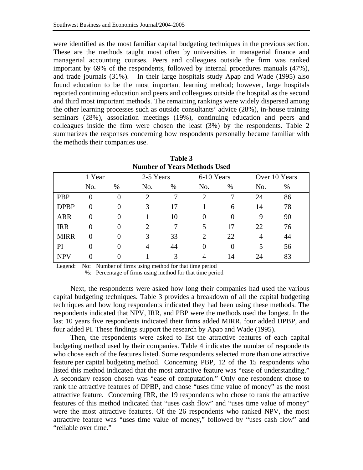were identified as the most familiar capital budgeting techniques in the previous section. These are the methods taught most often by universities in managerial finance and managerial accounting courses. Peers and colleagues outside the firm was ranked important by 69% of the respondents, followed by internal procedures manuals (47%), and trade journals (31%). In their large hospitals study Apap and Wade (1995) also found education to be the most important learning method; however, large hospitals reported continuing education and peers and colleagues outside the hospital as the second and third most important methods. The remaining rankings were widely dispersed among the other learning processes such as outside consultants' advice (28%), in-house training seminars (28%), association meetings (19%), continuing education and peers and colleagues inside the firm were chosen the least (3%) by the respondents. Table 2 summarizes the responses concerning how respondents personally became familiar with the methods their companies use.

| <b>Number of Years Methods Used</b> |                |          |                             |      |                |          |               |      |  |
|-------------------------------------|----------------|----------|-----------------------------|------|----------------|----------|---------------|------|--|
|                                     | 1 Year         |          | 2-5 Years                   |      | 6-10 Years     |          | Over 10 Years |      |  |
|                                     | No.            | $\%$     | No.                         | $\%$ | No.            | $\%$     | No.           | $\%$ |  |
| <b>PBP</b>                          | $\theta$       | 0        | $\mathcal{D}$               | 7    | $\overline{2}$ | 7        | 24            | 86   |  |
| <b>DPBP</b>                         | $\overline{0}$ | $\theta$ | 3                           | 17   |                | 6        | 14            | 78   |  |
| <b>ARR</b>                          | $\Omega$       | $\Omega$ |                             | 10   | 0              | 0        | 9             | 90   |  |
| <b>IRR</b>                          | $\Omega$       | $\Omega$ | $\mathcal{D}_{\mathcal{L}}$ |      | 5              | 17       | 22            | 76   |  |
| <b>MIRR</b>                         | $\Omega$       | 0        | 3                           | 33   | 2              | 22       | 4             | 44   |  |
| PI                                  | $\Omega$       | 0        | 4                           | 44   | $\theta$       | $\theta$ | 5             | 56   |  |
| <b>NPV</b>                          | $\Omega$       |          |                             | 3    | 4              | 14       | 24            | 83   |  |

**Table 3**

Legend: No: Number of firms using method for that time period

%: Percentage of firms using method for that time period

Next, the respondents were asked how long their companies had used the various capital budgeting techniques. Table 3 provides a breakdown of all the capital budgeting techniques and how long respondents indicated they had been using these methods. The respondents indicated that NPV, IRR, and PBP were the methods used the longest. In the last 10 years five respondents indicated their firms added MIRR, four added DPBP, and four added PI. These findings support the research by Apap and Wade (1995).

 Then, the respondents were asked to list the attractive features of each capital budgeting method used by their companies. Table 4 indicates the number of respondents who chose each of the features listed. Some respondents selected more than one attractive feature per capital budgeting method. Concerning PBP, 12 of the 15 respondents who listed this method indicated that the most attractive feature was "ease of understanding." A secondary reason chosen was "ease of computation." Only one respondent chose to rank the attractive features of DPBP, and chose "uses time value of money" as the most attractive feature. Concerning IRR, the 19 respondents who chose to rank the attractive features of this method indicated that "uses cash flow" and "uses time value of money" were the most attractive features. Of the 26 respondents who ranked NPV, the most attractive feature was "uses time value of money," followed by "uses cash flow" and "reliable over time."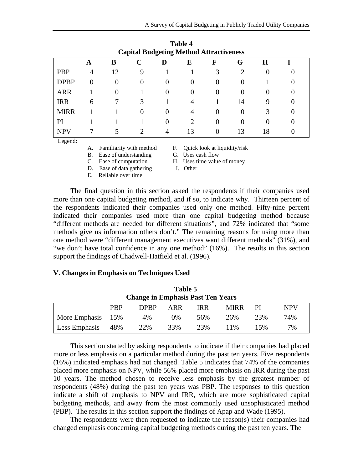| <b>Capital Budgeting Method Attractiveness</b> |          |        |          |   |                |          |          |    |  |  |
|------------------------------------------------|----------|--------|----------|---|----------------|----------|----------|----|--|--|
|                                                | Α        | B      |          | D | E              | F        | G        | H  |  |  |
| <b>PBP</b>                                     | 4        | 12     | 9        |   |                |          |          |    |  |  |
| <b>DPBP</b>                                    | $\Omega$ | $_{0}$ |          |   | $\Omega$       | $\theta$ |          |    |  |  |
| <b>ARR</b>                                     |          | 0      |          |   | $\Omega$       | O        |          |    |  |  |
| <b>IRR</b>                                     | 6        |        | 3        |   | 4              |          | 14       |    |  |  |
| <b>MIRR</b>                                    |          |        | $\theta$ |   | $\overline{A}$ | 0        | $\theta$ |    |  |  |
| PI                                             |          |        |          |   |                | 0        | $_{0}$   |    |  |  |
| <b>NPV</b>                                     |          |        |          | 4 | 13             | $\theta$ | 13       | 18 |  |  |
| $\mathbf{r}$ and $\mathbf{r}$                  |          |        |          |   |                |          |          |    |  |  |

**Table 4 Capital Budgeting Method Attractiveness**

Legend:

- 
- B. Ease of understanding G. Uses cash flow
- 
- D. Ease of data gathering I. Other
- 
- A. Familiarity with method F. Quick look at liquidity/risk
	-
- C. Ease of computation H. Uses time value of money
	-

E. Reliable over time

 The final question in this section asked the respondents if their companies used more than one capital budgeting method, and if so, to indicate why. Thirteen percent of the respondents indicated their companies used only one method. Fifty-nine percent indicated their companies used more than one capital budgeting method because "different methods are needed for different situations", and 72% indicated that "some methods give us information others don't." The remaining reasons for using more than one method were "different management executives want different methods" (31%), and "we don't have total confidence in any one method" (16%). The results in this section support the findings of Chadwell-Hatfield et al. (1996).

## **V. Changes in Emphasis on Techniques Used**

| Table 5                                  |            |             |       |            |             |     |            |  |
|------------------------------------------|------------|-------------|-------|------------|-------------|-----|------------|--|
| <b>Change in Emphasis Past Ten Years</b> |            |             |       |            |             |     |            |  |
|                                          | <b>PRP</b> | <b>DPRP</b> | ARR   | <b>IRR</b> | <b>MIRR</b> | РI  | <b>NPV</b> |  |
| More Emphasis                            | 15%        | 4%          | $0\%$ | 56%        | 26%         | 23% | 74%        |  |
| Less Emphasis                            | 48%        | 22\%        | 33%   | 23%        | 11%         | 15% | 7%         |  |

 This section started by asking respondents to indicate if their companies had placed more or less emphasis on a particular method during the past ten years. Five respondents (16%) indicated emphasis had not changed. Table 5 indicates that 74% of the companies placed more emphasis on NPV, while 56% placed more emphasis on IRR during the past 10 years. The method chosen to receive less emphasis by the greatest number of respondents (48%) during the past ten years was PBP. The responses to this question indicate a shift of emphasis to NPV and IRR, which are more sophisticated capital budgeting methods, and away from the most commonly used unsophisticated method (PBP). The results in this section support the findings of Apap and Wade (1995).

 The respondents were then requested to indicate the reason(s) their companies had changed emphasis concerning capital budgeting methods during the past ten years. The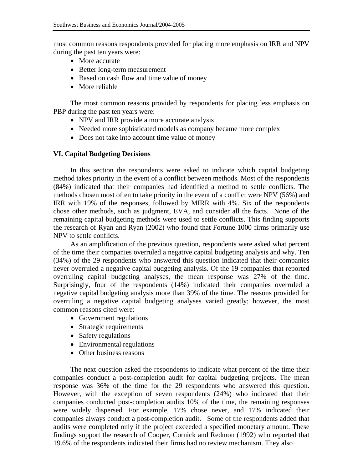most common reasons respondents provided for placing more emphasis on IRR and NPV during the past ten years were:

- More accurate
- Better long-term measurement
- Based on cash flow and time value of money
- More reliable

 The most common reasons provided by respondents for placing less emphasis on PBP during the past ten years were:

- NPV and IRR provide a more accurate analysis
- Needed more sophisticated models as company became more complex
- Does not take into account time value of money

# **VI. Capital Budgeting Decisions**

 In this section the respondents were asked to indicate which capital budgeting method takes priority in the event of a conflict between methods. Most of the respondents (84%) indicated that their companies had identified a method to settle conflicts. The methods chosen most often to take priority in the event of a conflict were NPV (56%) and IRR with 19% of the responses, followed by MIRR with 4%. Six of the respondents chose other methods, such as judgment, EVA, and consider all the facts. None of the remaining capital budgeting methods were used to settle conflicts. This finding supports the research of Ryan and Ryan (2002) who found that Fortune 1000 firms primarily use NPV to settle conflicts.

 As an amplification of the previous question, respondents were asked what percent of the time their companies overruled a negative capital budgeting analysis and why. Ten (34%) of the 29 respondents who answered this question indicated that their companies never overruled a negative capital budgeting analysis. Of the 19 companies that reported overruling capital budgeting analyses, the mean response was 27% of the time. Surprisingly, four of the respondents (14%) indicated their companies overruled a negative capital budgeting analysis more than 39% of the time. The reasons provided for overruling a negative capital budgeting analyses varied greatly; however, the most common reasons cited were:

- Government regulations
- Strategic requirements
- Safety regulations
- Environmental regulations
- Other business reasons

 The next question asked the respondents to indicate what percent of the time their companies conduct a post-completion audit for capital budgeting projects. The mean response was 36% of the time for the 29 respondents who answered this question. However, with the exception of seven respondents (24%) who indicated that their companies conducted post-completion audits 10% of the time, the remaining responses were widely dispersed. For example, 17% chose never, and 17% indicated their companies always conduct a post-completion audit. Some of the respondents added that audits were completed only if the project exceeded a specified monetary amount. These findings support the research of Cooper, Cornick and Redmon (1992) who reported that 19.6% of the respondents indicated their firms had no review mechanism. They also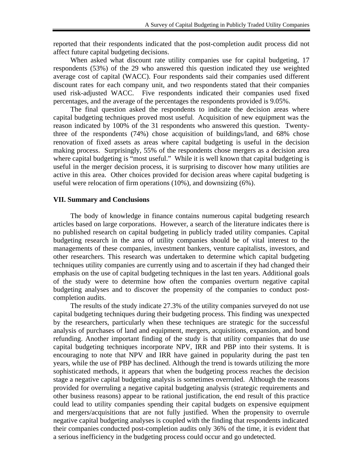reported that their respondents indicated that the post-completion audit process did not affect future capital budgeting decisions.

 When asked what discount rate utility companies use for capital budgeting, 17 respondents (53%) of the 29 who answered this question indicated they use weighted average cost of capital (WACC). Four respondents said their companies used different discount rates for each company unit, and two respondents stated that their companies used risk-adjusted WACC. Five respondents indicated their companies used fixed percentages, and the average of the percentages the respondents provided is 9.05%.

 The final question asked the respondents to indicate the decision areas where capital budgeting techniques proved most useful. Acquisition of new equipment was the reason indicated by 100% of the 31 respondents who answered this question. Twentythree of the respondents (74%) chose acquisition of buildings/land, and 68% chose renovation of fixed assets as areas where capital budgeting is useful in the decision making process. Surprisingly, 55% of the respondents chose mergers as a decision area where capital budgeting is "most useful." While it is well known that capital budgeting is useful in the merger decision process, it is surprising to discover how many utilities are active in this area. Other choices provided for decision areas where capital budgeting is useful were relocation of firm operations (10%), and downsizing (6%).

## **VII. Summary and Conclusions**

 The body of knowledge in finance contains numerous capital budgeting research articles based on large corporations. However, a search of the literature indicates there is no published research on capital budgeting in publicly traded utility companies. Capital budgeting research in the area of utility companies should be of vital interest to the managements of these companies, investment bankers, venture capitalists, investors, and other researchers. This research was undertaken to determine which capital budgeting techniques utility companies are currently using and to ascertain if they had changed their emphasis on the use of capital budgeting techniques in the last ten years. Additional goals of the study were to determine how often the companies overturn negative capital budgeting analyses and to discover the propensity of the companies to conduct postcompletion audits.

 The results of the study indicate 27.3% of the utility companies surveyed do not use capital budgeting techniques during their budgeting process. This finding was unexpected by the researchers, particularly when these techniques are strategic for the successful analysis of purchases of land and equipment, mergers, acquisitions, expansion, and bond refunding. Another important finding of the study is that utility companies that do use capital budgeting techniques incorporate NPV, IRR and PBP into their systems. It is encouraging to note that NPV and IRR have gained in popularity during the past ten years, while the use of PBP has declined. Although the trend is towards utilizing the more sophisticated methods, it appears that when the budgeting process reaches the decision stage a negative capital budgeting analysis is sometimes overruled. Although the reasons provided for overruling a negative capital budgeting analysis (strategic requirements and other business reasons) appear to be rational justification, the end result of this practice could lead to utility companies spending their capital budgets on expensive equipment and mergers/acquisitions that are not fully justified. When the propensity to overrule negative capital budgeting analyses is coupled with the finding that respondents indicated their companies conducted post-completion audits only 36% of the time, it is evident that a serious inefficiency in the budgeting process could occur and go undetected.